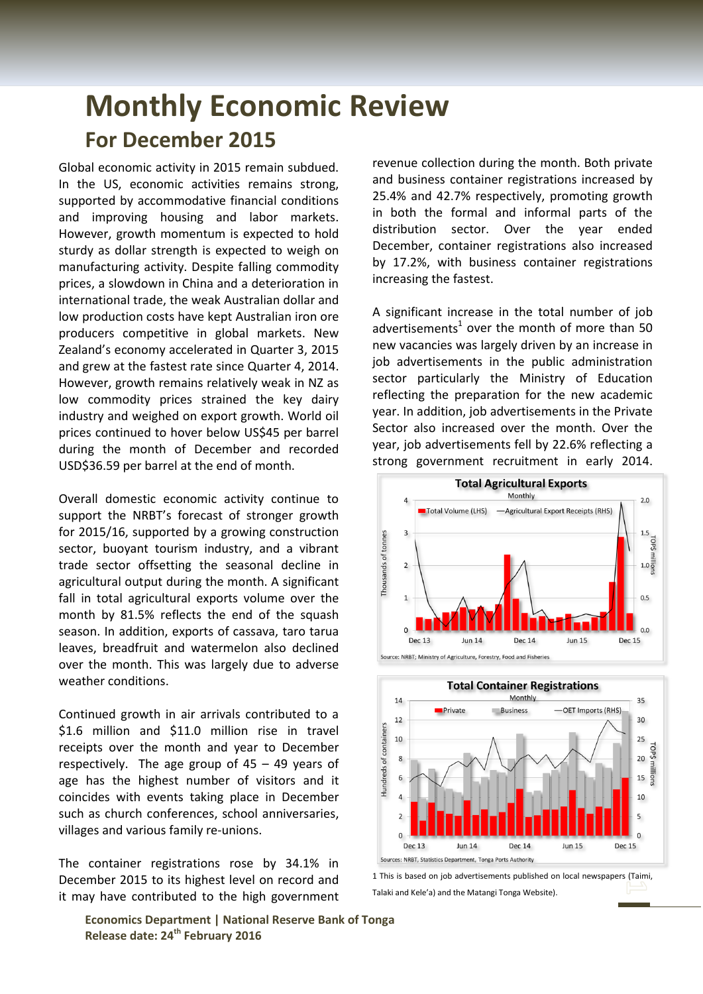## **Monthly Economic Review For December 2015**

Global economic activity in 2015 remain subdued. In the US, economic activities remains strong, supported by accommodative financial conditions and improving housing and labor markets. However, growth momentum is expected to hold sturdy as dollar strength is expected to weigh on manufacturing activity. Despite falling commodity prices, a slowdown in China and a deterioration in international trade, the weak Australian dollar and low production costs have kept Australian iron ore producers competitive in global markets. New Zealand's economy accelerated in Quarter 3, 2015 and grew at the fastest rate since Quarter 4, 2014. However, growth remains relatively weak in NZ as low commodity prices strained the key dairy industry and weighed on export growth. World oil prices continued to hover below US\$45 per barrel during the month of December and recorded USD\$36.59 per barrel at the end of month.

Overall domestic economic activity continue to support the NRBT's forecast of stronger growth for 2015/16, supported by a growing construction sector, buoyant tourism industry, and a vibrant trade sector offsetting the seasonal decline in agricultural output during the month. A significant fall in total agricultural exports volume over the month by 81.5% reflects the end of the squash season. In addition, exports of cassava, taro tarua leaves, breadfruit and watermelon also declined over the month. This was largely due to adverse weather conditions.

Continued growth in air arrivals contributed to a \$1.6 million and \$11.0 million rise in travel receipts over the month and year to December respectively. The age group of 45 – 49 years of age has the highest number of visitors and it coincides with events taking place in December such as church conferences, school anniversaries, villages and various family re-unions.

The container registrations rose by 34.1% in December 2015 to its highest level on record and it may have contributed to the high government revenue collection during the month. Both private and business container registrations increased by 25.4% and 42.7% respectively, promoting growth in both the formal and informal parts of the distribution sector. Over the year ended December, container registrations also increased by 17.2%, with business container registrations increasing the fastest.

A significant increase in the total number of job advertisements<sup>1</sup> over the month of more than 50 new vacancies was largely driven by an increase in job advertisements in the public administration sector particularly the Ministry of Education reflecting the preparation for the new academic year. In addition, job advertisements in the Private Sector also increased over the month. Over the year, job advertisements fell by 22.6% reflecting a strong government recruitment in early 2014.







**Economics Department | National Reserve Bank of Tonga Release date: 24th February 2016**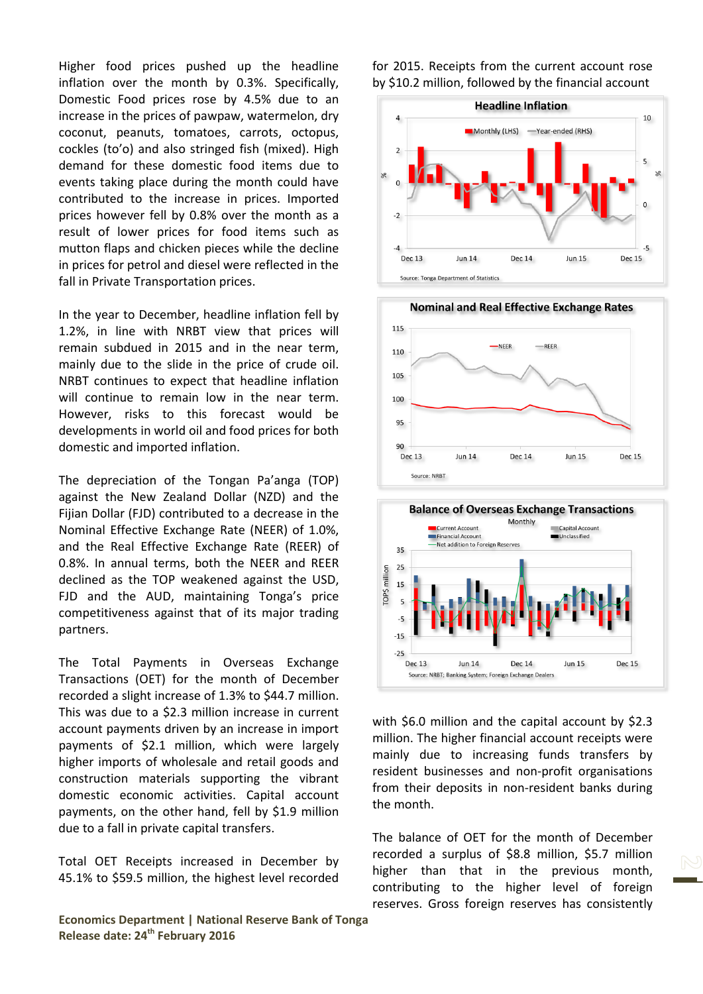Higher food prices pushed up the headline inflation over the month by 0.3%. Specifically, Domestic Food prices rose by 4.5% due to an increase in the prices of pawpaw, watermelon, dry coconut, peanuts, tomatoes, carrots, octopus, cockles (to'o) and also stringed fish (mixed). High demand for these domestic food items due to events taking place during the month could have contributed to the increase in prices. Imported prices however fell by 0.8% over the month as a result of lower prices for food items such as mutton flaps and chicken pieces while the decline in prices for petrol and diesel were reflected in the fall in Private Transportation prices.

In the year to December, headline inflation fell by 1.2%, in line with NRBT view that prices will remain subdued in 2015 and in the near term, mainly due to the slide in the price of crude oil. NRBT continues to expect that headline inflation will continue to remain low in the near term. However, risks to this forecast would be developments in world oil and food prices for both domestic and imported inflation.

The depreciation of the Tongan Pa'anga (TOP) against the New Zealand Dollar (NZD) and the Fijian Dollar (FJD) contributed to a decrease in the Nominal Effective Exchange Rate (NEER) of 1.0%, and the Real Effective Exchange Rate (REER) of 0.8%. In annual terms, both the NEER and REER declined as the TOP weakened against the USD, FJD and the AUD, maintaining Tonga's price competitiveness against that of its major trading partners.

The Total Payments in Overseas Exchange Transactions (OET) for the month of December recorded a slight increase of 1.3% to \$44.7 million. This was due to a \$2.3 million increase in current account payments driven by an increase in import payments of \$2.1 million, which were largely higher imports of wholesale and retail goods and construction materials supporting the vibrant domestic economic activities. Capital account payments, on the other hand, fell by \$1.9 million due to a fall in private capital transfers.

Total OET Receipts increased in December by 45.1% to \$59.5 million, the highest level recorded

**Economics Department | National Reserve Bank of Tonga Release date: 24th February 2016**

for 2015. Receipts from the current account rose by \$10.2 million, followed by the financial account







with \$6.0 million and the capital account by \$2.3 million. The higher financial account receipts were mainly due to increasing funds transfers by resident businesses and non-profit organisations from their deposits in non-resident banks during the month.

The balance of OET for the month of December recorded a surplus of \$8.8 million, \$5.7 million higher than that in the previous month, contributing to the higher level of foreign reserves. Gross foreign reserves has consistently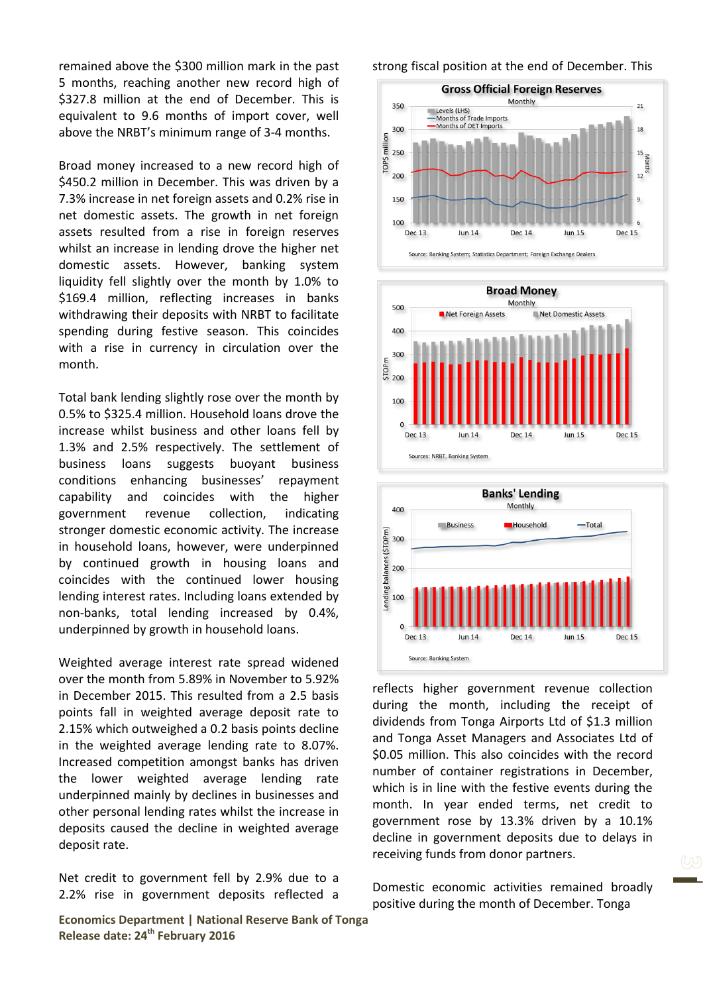remained above the \$300 million mark in the past 5 months, reaching another new record high of \$327.8 million at the end of December. This is equivalent to 9.6 months of import cover, well above the NRBT's minimum range of 3-4 months.

Broad money increased to a new record high of \$450.2 million in December. This was driven by a 7.3% increase in net foreign assets and 0.2% rise in net domestic assets. The growth in net foreign assets resulted from a rise in foreign reserves whilst an increase in lending drove the higher net domestic assets. However, banking system liquidity fell slightly over the month by 1.0% to \$169.4 million, reflecting increases in banks withdrawing their deposits with NRBT to facilitate spending during festive season. This coincides with a rise in currency in circulation over the month.

Total bank lending slightly rose over the month by 0.5% to \$325.4 million. Household loans drove the increase whilst business and other loans fell by 1.3% and 2.5% respectively. The settlement of business loans suggests buoyant business conditions enhancing businesses' repayment capability and coincides with the higher government revenue collection, indicating stronger domestic economic activity. The increase in household loans, however, were underpinned by continued growth in housing loans and coincides with the continued lower housing lending interest rates. Including loans extended by non-banks, total lending increased by 0.4%, underpinned by growth in household loans.

Weighted average interest rate spread widened over the month from 5.89% in November to 5.92% in December 2015. This resulted from a 2.5 basis points fall in weighted average deposit rate to 2.15% which outweighed a 0.2 basis points decline in the weighted average lending rate to 8.07%. Increased competition amongst banks has driven the lower weighted average lending rate underpinned mainly by declines in businesses and other personal lending rates whilst the increase in deposits caused the decline in weighted average deposit rate.

Net credit to government fell by 2.9% due to a 2.2% rise in government deposits reflected a

**Economics Department | National Reserve Bank of Tonga Release date: 24th February 2016**

strong fiscal position at the end of December. This







reflects higher government revenue collection during the month, including the receipt of dividends from Tonga Airports Ltd of \$1.3 million and Tonga Asset Managers and Associates Ltd of \$0.05 million. This also coincides with the record number of container registrations in December, which is in line with the festive events during the month. In year ended terms, net credit to government rose by 13.3% driven by a 10.1% decline in government deposits due to delays in receiving funds from donor partners.

Domestic economic activities remained broadly positive during the month of December. Tonga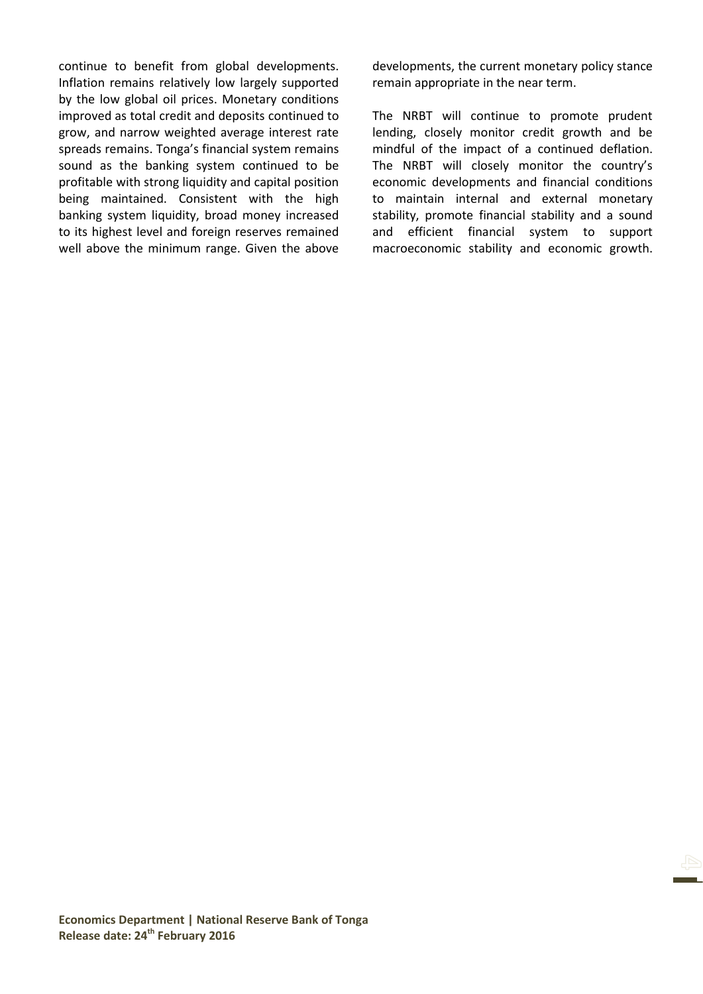continue to benefit from global developments. Inflation remains relatively low largely supported by the low global oil prices. Monetary conditions improved as total credit and deposits continued to grow, and narrow weighted average interest rate spreads remains. Tonga's financial system remains sound as the banking system continued to be profitable with strong liquidity and capital position being maintained. Consistent with the high banking system liquidity, broad money increased to its highest level and foreign reserves remained well above the minimum range. Given the above developments, the current monetary policy stance remain appropriate in the near term.

The NRBT will continue to promote prudent lending, closely monitor credit growth and be mindful of the impact of a continued deflation. The NRBT will closely monitor the country's economic developments and financial conditions to maintain internal and external monetary stability, promote financial stability and a sound and efficient financial system to support macroeconomic stability and economic growth.